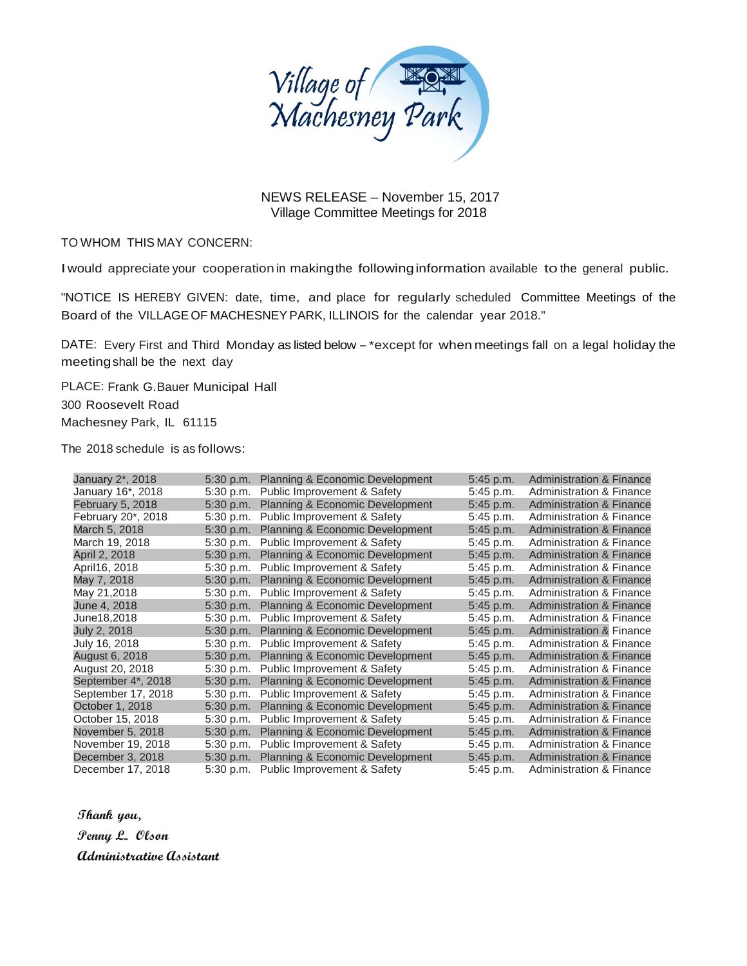

NEWS RELEASE – November 15, 2017 Village Committee Meetings for 2018

TO WHOM THIS MAY CONCERN:

Iwould appreciate your cooperation in makingthe followinginformation available to the general public.

"NOTICE IS HEREBY GIVEN: date, time, and place for regularly scheduled Committee Meetings of the Board of the VILLAGEOF MACHESNEYPARK, ILLINOIS for the calendar year 2018."

DATE: Every First and Third Monday as listed below -\*except for when meetings fall on a legal holiday the meetingshall be the next day

PLACE: Frank G.Bauer Municipal Hall 300 Roosevelt Road Machesney Park, IL 61115

The 2018 schedule is as follows:

| January 2*, 2018        | 5:30 p.m.   | <b>Planning &amp; Economic Development</b> | $5:45$ p.m. | <b>Administration &amp; Finance</b> |
|-------------------------|-------------|--------------------------------------------|-------------|-------------------------------------|
| January 16*, 2018       | 5:30 p.m.   | Public Improvement & Safety                | 5:45 p.m.   | Administration & Finance            |
| <b>February 5, 2018</b> | $5:30$ p.m. | Planning & Economic Development            | 5:45 p.m.   | <b>Administration &amp; Finance</b> |
| February 20*, 2018      | 5:30 p.m.   | Public Improvement & Safety                | 5:45 p.m.   | <b>Administration &amp; Finance</b> |
| March 5, 2018           | $5:30$ p.m. | Planning & Economic Development            | $5:45$ p.m. | <b>Administration &amp; Finance</b> |
| March 19, 2018          | 5:30 p.m.   | Public Improvement & Safety                | 5:45 p.m.   | Administration & Finance            |
| April 2, 2018           | $5:30$ p.m. | Planning & Economic Development            | $5:45$ p.m. | <b>Administration &amp; Finance</b> |
| April16, 2018           | $5:30$ p.m. | Public Improvement & Safety                | 5:45 p.m.   | Administration & Finance            |
| May 7, 2018             | $5:30$ p.m. | Planning & Economic Development            | 5:45 p.m.   | <b>Administration &amp; Finance</b> |
| May 21,2018             | 5:30 p.m.   | Public Improvement & Safety                | 5:45 p.m.   | Administration & Finance            |
| June 4, 2018            | 5:30 p.m.   | <b>Planning &amp; Economic Development</b> | $5:45$ p.m. | <b>Administration &amp; Finance</b> |
| June18,2018             | $5:30$ p.m. | Public Improvement & Safety                | 5:45 p.m.   | Administration & Finance            |
| July 2, 2018            | 5:30 p.m.   | <b>Planning &amp; Economic Development</b> | $5:45$ p.m. | <b>Administration &amp; Finance</b> |
| July 16, 2018           | $5:30$ p.m. | Public Improvement & Safety                | 5:45 p.m.   | <b>Administration &amp; Finance</b> |
| August 6, 2018          | 5:30 p.m.   | Planning & Economic Development            | 5:45 p.m.   | <b>Administration &amp; Finance</b> |
| August 20, 2018         | 5:30 p.m.   | Public Improvement & Safety                | 5:45 p.m.   | Administration & Finance            |
| September 4*, 2018      | $5:30$ p.m. | Planning & Economic Development            | 5:45 p.m.   | <b>Administration &amp; Finance</b> |
| September 17, 2018      | $5:30$ p.m. | Public Improvement & Safety                | 5:45 p.m.   | <b>Administration &amp; Finance</b> |
| October 1, 2018         | 5:30 p.m.   | Planning & Economic Development            | $5:45$ p.m. | <b>Administration &amp; Finance</b> |
| October 15, 2018        | $5:30$ p.m. | Public Improvement & Safety                | 5:45 p.m.   | Administration & Finance            |
| November 5, 2018        | $5:30$ p.m. | Planning & Economic Development            | 5:45 p.m.   | <b>Administration &amp; Finance</b> |
| November 19, 2018       | 5:30 p.m.   | Public Improvement & Safety                | 5:45 p.m.   | <b>Administration &amp; Finance</b> |
| December 3, 2018        | $5:30$ p.m. | Planning & Economic Development            | 5:45 p.m.   | <b>Administration &amp; Finance</b> |
| December 17, 2018       |             | 5:30 p.m. Public Improvement & Safety      | 5:45 p.m.   | <b>Administration &amp; Finance</b> |

**Thank you, Penny L. Olson** 

**Administrative Assistant**